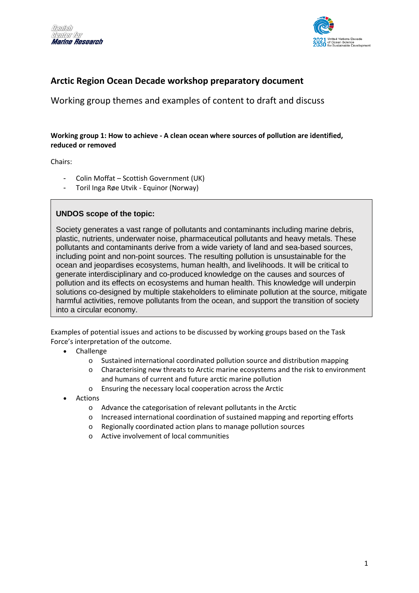



# **Arctic Region Ocean Decade workshop preparatory document**

Working group themes and examples of content to draft and discuss

### **Working group 1: How to achieve - A clean ocean where sources of pollution are identified, reduced or removed**

Chairs:

- Colin Moffat Scottish Government (UK)
- Toril Inga Røe Utvik Equinor (Norway)

### **UNDOS scope of the topic:**

Society generates a vast range of pollutants and contaminants including marine debris, plastic, nutrients, underwater noise, pharmaceutical pollutants and heavy metals. These pollutants and contaminants derive from a wide variety of land and sea-based sources, including point and non-point sources. The resulting pollution is unsustainable for the ocean and jeopardises ecosystems, human health, and livelihoods. It will be critical to generate interdisciplinary and co-produced knowledge on the causes and sources of pollution and its effects on ecosystems and human health. This knowledge will underpin solutions co-designed by multiple stakeholders to eliminate pollution at the source, mitigate harmful activities, remove pollutants from the ocean, and support the transition of society into a circular economy.

- Challenge
	- o Sustained international coordinated pollution source and distribution mapping
	- o Characterising new threats to Arctic marine ecosystems and the risk to environment and humans of current and future arctic marine pollution
	- o Ensuring the necessary local cooperation across the Arctic
- **Actions** 
	- o Advance the categorisation of relevant pollutants in the Arctic
	- o Increased international coordination of sustained mapping and reporting efforts
	- o Regionally coordinated action plans to manage pollution sources
	- o Active involvement of local communities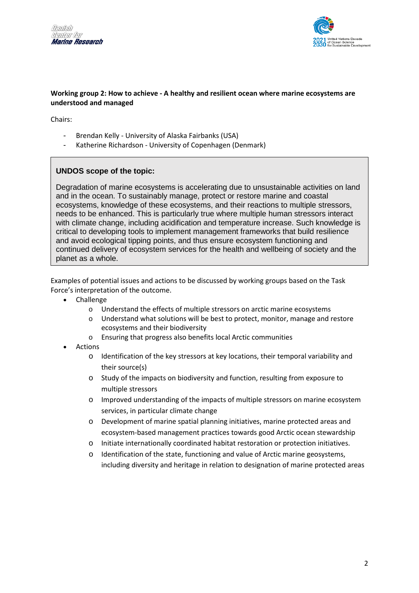



#### **Working group 2: How to achieve - A healthy and resilient ocean where marine ecosystems are understood and managed**

Chairs:

- Brendan Kelly University of Alaska Fairbanks (USA)
- Katherine Richardson University of Copenhagen (Denmark)

# **UNDOS scope of the topic:**

Degradation of marine ecosystems is accelerating due to unsustainable activities on land and in the ocean. To sustainably manage, protect or restore marine and coastal ecosystems, knowledge of these ecosystems, and their reactions to multiple stressors, needs to be enhanced. This is particularly true where multiple human stressors interact with climate change, including acidification and temperature increase. Such knowledge is critical to developing tools to implement management frameworks that build resilience and avoid ecological tipping points, and thus ensure ecosystem functioning and continued delivery of ecosystem services for the health and wellbeing of society and the planet as a whole.

- Challenge
	- o Understand the effects of multiple stressors on arctic marine ecosystems
	- o Understand what solutions will be best to protect, monitor, manage and restore ecosystems and their biodiversity
	- o Ensuring that progress also benefits local Arctic communities
- **Actions** 
	- o Identification of the key stressors at key locations, their temporal variability and their source(s)
	- o Study of the impacts on biodiversity and function, resulting from exposure to multiple stressors
	- o Improved understanding of the impacts of multiple stressors on marine ecosystem services, in particular climate change
	- o Development of marine spatial planning initiatives, marine protected areas and ecosystem-based management practices towards good Arctic ocean stewardship
	- o Initiate internationally coordinated habitat restoration or protection initiatives.
	- Identification of the state, functioning and value of Arctic marine geosystems, including diversity and heritage in relation to designation of marine protected areas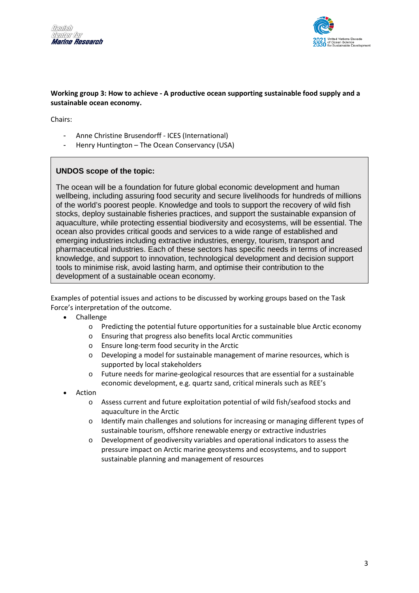



### **Working group 3: How to achieve - A productive ocean supporting sustainable food supply and a sustainable ocean economy.**

Chairs:

- Anne Christine Brusendorff ICES (International)
- Henry Huntington The Ocean Conservancy (USA)

# **UNDOS scope of the topic:**

The ocean will be a foundation for future global economic development and human wellbeing, including assuring food security and secure livelihoods for hundreds of millions of the world's poorest people. Knowledge and tools to support the recovery of wild fish stocks, deploy sustainable fisheries practices, and support the sustainable expansion of aquaculture, while protecting essential biodiversity and ecosystems, will be essential. The ocean also provides critical goods and services to a wide range of established and emerging industries including extractive industries, energy, tourism, transport and pharmaceutical industries. Each of these sectors has specific needs in terms of increased knowledge, and support to innovation, technological development and decision support tools to minimise risk, avoid lasting harm, and optimise their contribution to the development of a sustainable ocean economy.

- Challenge
	- o Predicting the potential future opportunities for a sustainable blue Arctic economy
	- o Ensuring that progress also benefits local Arctic communities
	- o Ensure long-term food security in the Arctic
	- o Developing a model for sustainable management of marine resources, which is supported by local stakeholders
	- o Future needs for marine-geological resources that are essential for a sustainable economic development, e.g. quartz sand, critical minerals such as REE's
- Action
	- o Assess current and future exploitation potential of wild fish/seafood stocks and aquaculture in the Arctic
	- o Identify main challenges and solutions for increasing or managing different types of sustainable tourism, offshore renewable energy or extractive industries
	- o Development of geodiversity variables and operational indicators to assess the pressure impact on Arctic marine geosystems and ecosystems, and to support sustainable planning and management of resources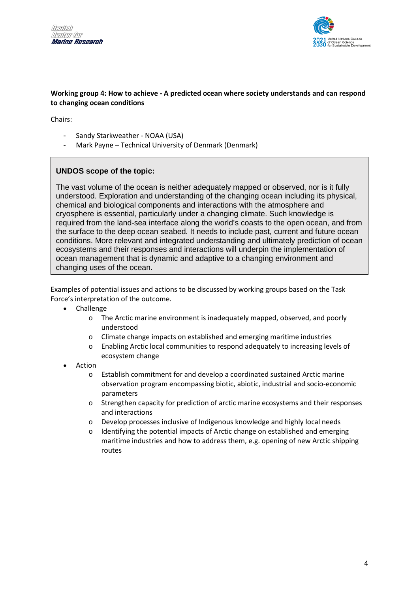



#### **Working group 4: How to achieve - A predicted ocean where society understands and can respond to changing ocean conditions**

Chairs:

- Sandy Starkweather NOAA (USA)
- Mark Payne Technical University of Denmark (Denmark)

# **UNDOS scope of the topic:**

The vast volume of the ocean is neither adequately mapped or observed, nor is it fully understood. Exploration and understanding of the changing ocean including its physical, chemical and biological components and interactions with the atmosphere and cryosphere is essential, particularly under a changing climate. Such knowledge is required from the land-sea interface along the world's coasts to the open ocean, and from the surface to the deep ocean seabed. It needs to include past, current and future ocean conditions. More relevant and integrated understanding and ultimately prediction of ocean ecosystems and their responses and interactions will underpin the implementation of ocean management that is dynamic and adaptive to a changing environment and changing uses of the ocean.

- Challenge
	- o The Arctic marine environment is inadequately mapped, observed, and poorly understood
	- o Climate change impacts on established and emerging maritime industries
	- o Enabling Arctic local communities to respond adequately to increasing levels of ecosystem change
- **Action** 
	- o Establish commitment for and develop a coordinated sustained Arctic marine observation program encompassing biotic, abiotic, industrial and socio-economic parameters
	- o Strengthen capacity for prediction of arctic marine ecosystems and their responses and interactions
	- o Develop processes inclusive of Indigenous knowledge and highly local needs
	- o Identifying the potential impacts of Arctic change on established and emerging maritime industries and how to address them, e.g. opening of new Arctic shipping routes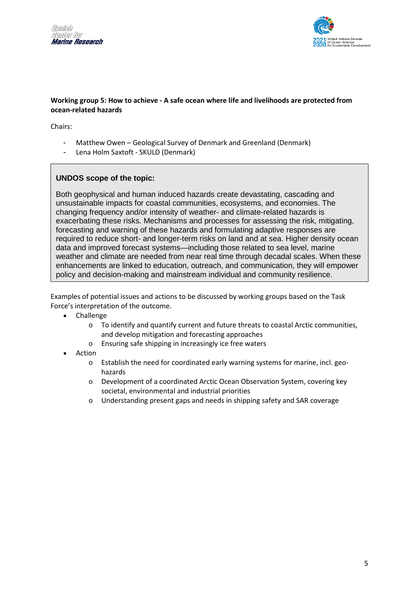



### **Working group 5: How to achieve - A safe ocean where life and livelihoods are protected from ocean-related hazards**

Chairs:

- Matthew Owen Geological Survey of Denmark and Greenland (Denmark)
- Lena Holm Saxtoft SKULD (Denmark)

# **UNDOS scope of the topic:**

Both geophysical and human induced hazards create devastating, cascading and unsustainable impacts for coastal communities, ecosystems, and economies. The changing frequency and/or intensity of weather- and climate-related hazards is exacerbating these risks. Mechanisms and processes for assessing the risk, mitigating, forecasting and warning of these hazards and formulating adaptive responses are required to reduce short- and longer-term risks on land and at sea. Higher density ocean data and improved forecast systems—including those related to sea level, marine weather and climate are needed from near real time through decadal scales. When these enhancements are linked to education, outreach, and communication, they will empower policy and decision-making and mainstream individual and community resilience.

- **Challenge** 
	- o To identify and quantify current and future threats to coastal Arctic communities, and develop mitigation and forecasting approaches
	- o Ensuring safe shipping in increasingly ice free waters
- Action
	- o Establish the need for coordinated early warning systems for marine, incl. geohazards
	- o Development of a coordinated Arctic Ocean Observation System, covering key societal, environmental and industrial priorities
	- o Understanding present gaps and needs in shipping safety and SAR coverage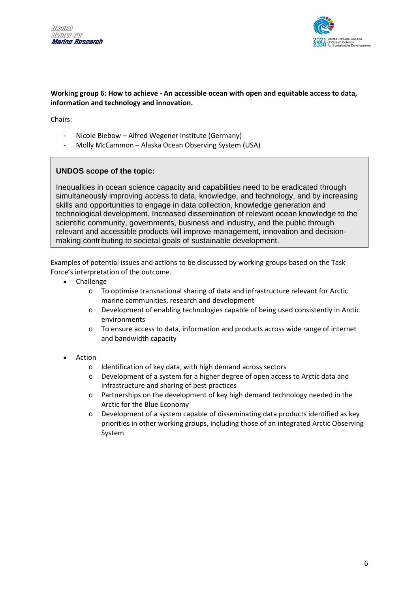



#### **Working group 6: How to achieve - An accessible ocean with open and equitable access to data, information and technology and innovation.**

Chairs:

- Nicole Biebow Alfred Wegener Institute (Germany)
- Molly McCammon Alaska Ocean Observing System (USA)

# **UNDOS scope of the topic:**

Inequalities in ocean science capacity and capabilities need to be eradicated through simultaneously improving access to data, knowledge, and technology, and by increasing skills and opportunities to engage in data collection, knowledge generation and technological development. Increased dissemination of relevant ocean knowledge to the scientific community, governments, business and industry, and the public through relevant and accessible products will improve management, innovation and decisionmaking contributing to societal goals of sustainable development.

- Challenge
	- o To optimise transnational sharing of data and infrastructure relevant for Arctic marine communities, research and development
	- o Development of enabling technologies capable of being used consistently in Arctic environments
	- $\circ$  To ensure access to data, information and products across wide range of internet and bandwidth capacity
- **Action** 
	- o Identification of key data, with high demand across sectors
	- o Development of a system for a higher degree of open access to Arctic data and infrastructure and sharing of best practices
	- o Partnerships on the development of key high demand technology needed in the Arctic for the Blue Economy
	- $\circ$  Development of a system capable of disseminating data products identified as key priorities in other working groups, including those of an integrated Arctic Observing System